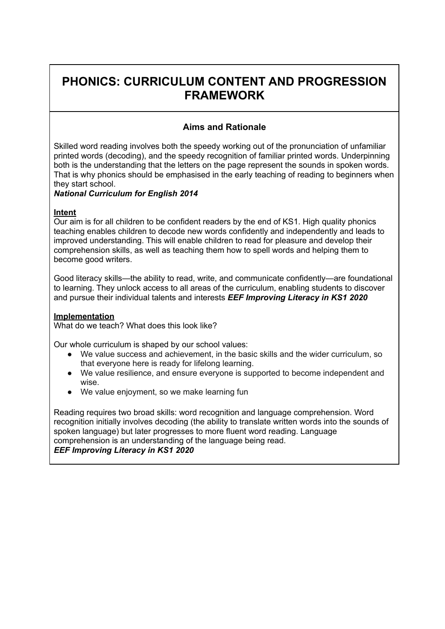# **PHONICS: CURRICULUM CONTENT AND PROGRESSION FRAMEWORK**

## **Aims and Rationale**

Skilled word reading involves both the speedy working out of the pronunciation of unfamiliar printed words (decoding), and the speedy recognition of familiar printed words. Underpinning both is the understanding that the letters on the page represent the sounds in spoken words. That is why phonics should be emphasised in the early teaching of reading to beginners when they start school.

### *National Curriculum for English 2014*

#### **Intent**

Our aim is for all children to be confident readers by the end of KS1. High quality phonics teaching enables children to decode new words confidently and independently and leads to improved understanding. This will enable children to read for pleasure and develop their comprehension skills, as well as teaching them how to spell words and helping them to become good writers.

Good literacy skills—the ability to read, write, and communicate confidently—are foundational to learning. They unlock access to all areas of the curriculum, enabling students to discover and pursue their individual talents and interests *EEF Improving Literacy in KS1 2020*

#### **Implementation**

What do we teach? What does this look like?

Our whole curriculum is shaped by our school values:

- We value success and achievement, in the basic skills and the wider curriculum, so that everyone here is ready for lifelong learning.
- We value resilience, and ensure everyone is supported to become independent and wise.
- We value enjoyment, so we make learning fun

Reading requires two broad skills: word recognition and language comprehension. Word recognition initially involves decoding (the ability to translate written words into the sounds of spoken language) but later progresses to more fluent word reading. Language comprehension is an understanding of the language being read. *EEF Improving Literacy in KS1 2020*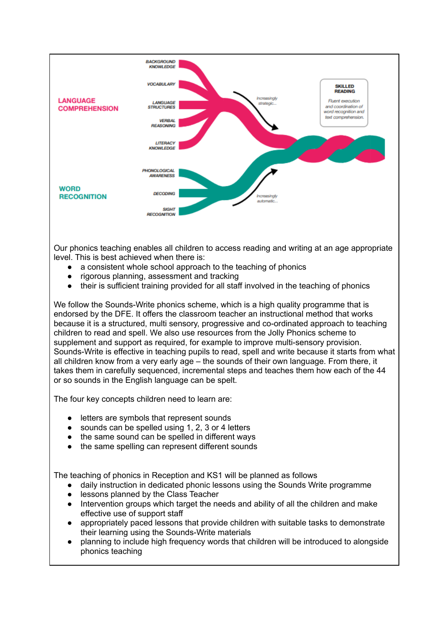

Our phonics teaching enables all children to access reading and writing at an age appropriate level. This is best achieved when there is:

- a consistent whole school approach to the teaching of phonics
- rigorous planning, assessment and tracking
- their is sufficient training provided for all staff involved in the teaching of phonics

We follow the Sounds-Write phonics scheme, which is a high quality programme that is endorsed by the DFE. It offers the classroom teacher an instructional method that works because it is a structured, multi sensory, progressive and co-ordinated approach to teaching children to read and spell. We also use resources from the Jolly Phonics scheme to supplement and support as required, for example to improve multi-sensory provision. Sounds-Write is effective in teaching pupils to read, spell and write because it starts from what all children know from a very early age – the sounds of their own language. From there, it takes them in carefully sequenced, incremental steps and teaches them how each of the 44 or so sounds in the English language can be spelt.

The four key concepts children need to learn are:

- letters are symbols that represent sounds
- sounds can be spelled using 1, 2, 3 or 4 letters
- the same sound can be spelled in different ways
- the same spelling can represent different sounds

The teaching of phonics in Reception and KS1 will be planned as follows

- daily instruction in dedicated phonic lessons using the Sounds Write programme
- lessons planned by the Class Teacher
- Intervention groups which target the needs and ability of all the children and make effective use of support staff
- appropriately paced lessons that provide children with suitable tasks to demonstrate their learning using the Sounds-Write materials
- planning to include high frequency words that children will be introduced to alongside phonics teaching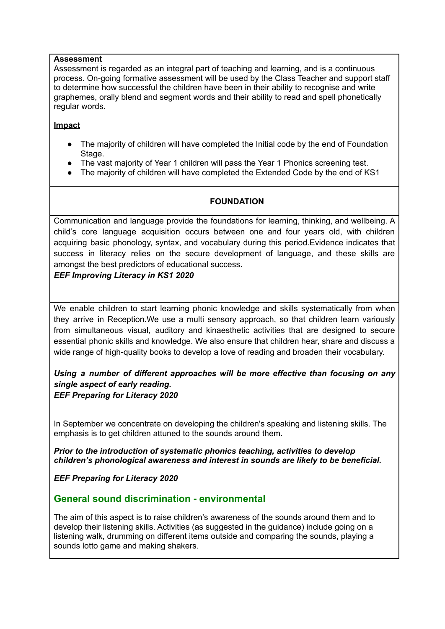#### **Assessment**

Assessment is regarded as an integral part of teaching and learning, and is a continuous process. On-going formative assessment will be used by the Class Teacher and support staff to determine how successful the children have been in their ability to recognise and write graphemes, orally blend and segment words and their ability to read and spell phonetically regular words.

#### **Impact**

- The majority of children will have completed the Initial code by the end of Foundation Stage.
- The vast majority of Year 1 children will pass the Year 1 Phonics screening test.
- The majority of children will have completed the Extended Code by the end of KS1

## **FOUNDATION**

Communication and language provide the foundations for learning, thinking, and wellbeing. A child's core language acquisition occurs between one and four years old, with children acquiring basic phonology, syntax, and vocabulary during this period.Evidence indicates that success in literacy relies on the secure development of language, and these skills are amongst the best predictors of educational success.

### *EEF Improving Literacy in KS1 2020*

We enable children to start learning phonic knowledge and skills systematically from when they arrive in Reception.We use a multi sensory approach, so that children learn variously from simultaneous visual, auditory and kinaesthetic activities that are designed to secure essential phonic skills and knowledge. We also ensure that children hear, share and discuss a wide range of high-quality books to develop a love of reading and broaden their vocabulary.

### *Using a number of different approaches will be more effective than focusing on any single aspect of early reading. EEF Preparing for Literacy 2020*

In September we concentrate on developing the children's speaking and listening skills. The emphasis is to get children attuned to the sounds around them.

*Prior to the introduction of systematic phonics teaching, activities to develop children's phonological awareness and interest in sounds are likely to be beneficial.*

*EEF Preparing for Literacy 2020*

## **General sound discrimination - environmental**

The aim of this aspect is to raise children's awareness of the sounds around them and to develop their listening skills. Activities (as suggested in the guidance) include going on a listening walk, drumming on different items outside and comparing the sounds, playing a sounds lotto game and making shakers.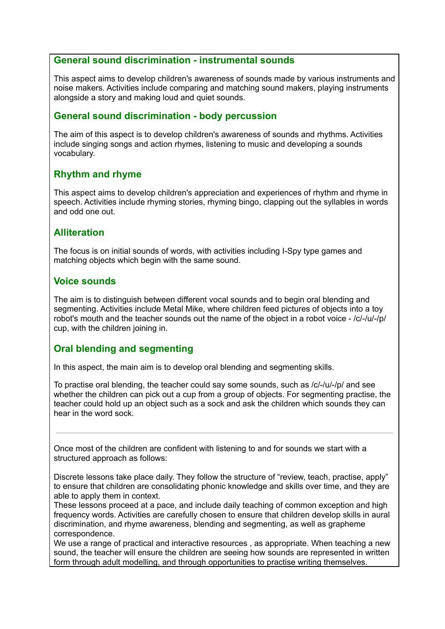#### **General sound discrimination - instrumental sounds**

This aspect aims to develop children's awareness of sounds made by various instruments and noise makers. Activities include comparing and matching sound makers, playing instruments alongside a story and making loud and quiet sounds.

## **General sound discrimination - body percussion**

The aim of this aspect is to develop children's awareness of sounds and rhythms. Activities include singing songs and action rhymes, listening to music and developing a sounds vocabulary.

## **Rhythm and rhyme**

This aspect aims to develop children's appreciation and experiences of rhythm and rhyme in speech. Activities include rhyming stories, rhyming bingo, clapping out the syllables in words and odd one out.

## **Alliteration**

The focus is on initial sounds of words, with activities including I-Spy type games and matching objects which begin with the same sound.

#### **Voice sounds**

The aim is to distinguish between different vocal sounds and to begin oral blending and segmenting. Activities include Metal Mike, where children feed pictures of objects into a toy robot's mouth and the teacher sounds out the name of the object in a robot voice - /c/-/u/-/p/ cup, with the children joining in.

## **Oral blending and segmenting**

In this aspect, the main aim is to develop oral blending and segmenting skills.

To practise oral blending, the teacher could say some sounds, such as /c/-/u/-/p/ and see whether the children can pick out a cup from a group of objects. For segmenting practise, the teacher could hold up an object such as a sock and ask the children which sounds they can hear in the word sock.

Once most of the children are confident with listening to and for sounds we start with a structured approach as follows:

Discrete lessons take place daily. They follow the structure of "review, teach, practise, apply" to ensure that children are consolidating phonic knowledge and skills over time, and they are able to apply them in context.

These lessons proceed at a pace, and include daily teaching of common exception and high frequency words. Activities are carefully chosen to ensure that children develop skills in aural discrimination, and rhyme awareness, blending and segmenting, as well as grapheme correspondence.

We use a range of practical and interactive resources , as appropriate. When teaching a new sound, the teacher will ensure the children are seeing how sounds are represented in written form through adult modelling, and through opportunities to practise writing themselves.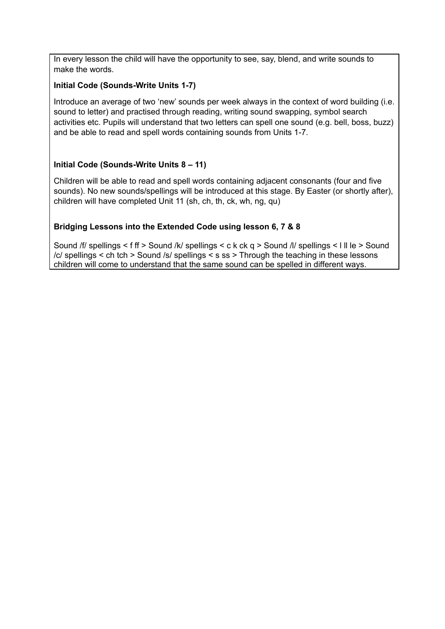In every lesson the child will have the opportunity to see, say, blend, and write sounds to make the words.

### **Initial Code (Sounds-Write Units 1-7)**

Introduce an average of two 'new' sounds per week always in the context of word building (i.e. sound to letter) and practised through reading, writing sound swapping, symbol search activities etc. Pupils will understand that two letters can spell one sound (e.g. bell, boss, buzz) and be able to read and spell words containing sounds from Units 1-7.

## **Initial Code (Sounds-Write Units 8 – 11)**

Children will be able to read and spell words containing adjacent consonants (four and five sounds). No new sounds/spellings will be introduced at this stage. By Easter (or shortly after), children will have completed Unit 11 (sh, ch, th, ck, wh, ng, qu)

## **Bridging Lessons into the Extended Code using lesson 6, 7 & 8**

Sound /f/ spellings < f ff > Sound /k/ spellings < c k ck q > Sound /l/ spellings < l ll le > Sound /c/ spellings < ch tch > Sound /s/ spellings < s ss > Through the teaching in these lessons children will come to understand that the same sound can be spelled in different ways.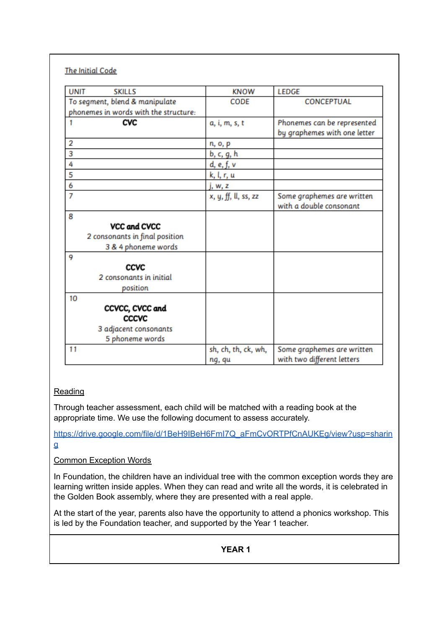| <b>UNIT</b><br><b>SKILLS</b>          | <b>KNOW</b>          | <b>LEDGE</b>                                                |
|---------------------------------------|----------------------|-------------------------------------------------------------|
| To segment, blend & manipulate        | CODE                 | <b>CONCEPTUAL</b>                                           |
| phonemes in words with the structure: |                      |                                                             |
| CVC<br>1                              | a, i, m, s, t        | Phonemes can be represented<br>by graphemes with one letter |
| 2                                     | n, o, p              |                                                             |
| 3                                     | b, c, g, h           |                                                             |
| 4                                     | d, e, f, v           |                                                             |
| 5                                     | k, l, r, u           |                                                             |
| 6                                     | j, w, z              |                                                             |
| 7                                     | x, y, ff, ll, ss, zz | Some graphemes are written<br>with a double consonant       |
| 8                                     |                      |                                                             |
| VCC and CVCC                          |                      |                                                             |
| 2 consonants in final position        |                      |                                                             |
| 3 & 4 phoneme words                   |                      |                                                             |
| 9                                     |                      |                                                             |
| CCVC                                  |                      |                                                             |
| 2 consonants in initial               |                      |                                                             |
| position                              |                      |                                                             |
| 10                                    |                      |                                                             |
| CCVCC, CVCC and                       |                      |                                                             |
| <b>CCCVC</b>                          |                      |                                                             |
| 3 adjacent consonants                 |                      |                                                             |
| 5 phoneme words                       |                      |                                                             |
| 11                                    | sh, ch, th, ck, wh,  | Some graphemes are written                                  |
|                                       | ng, qu               | with two different letters                                  |

## Reading

Through teacher assessment, each child will be matched with a reading book at the appropriate time. We use the following document to assess accurately.

[https://drive.google.com/file/d/1BeH9IBeH6FmI7Q\\_aFmCvORTPfCnAUKEg/view?usp=sharin](https://drive.google.com/file/d/1BeH9IBeH6FmI7Q_aFmCvORTPfCnAUKEg/view?usp=sharing) [g](https://drive.google.com/file/d/1BeH9IBeH6FmI7Q_aFmCvORTPfCnAUKEg/view?usp=sharing)

Common Exception Words

In Foundation, the children have an individual tree with the common exception words they are learning written inside apples. When they can read and write all the words, it is celebrated in the Golden Book assembly, where they are presented with a real apple.

At the start of the year, parents also have the opportunity to attend a phonics workshop. This is led by the Foundation teacher, and supported by the Year 1 teacher.

**YEAR 1**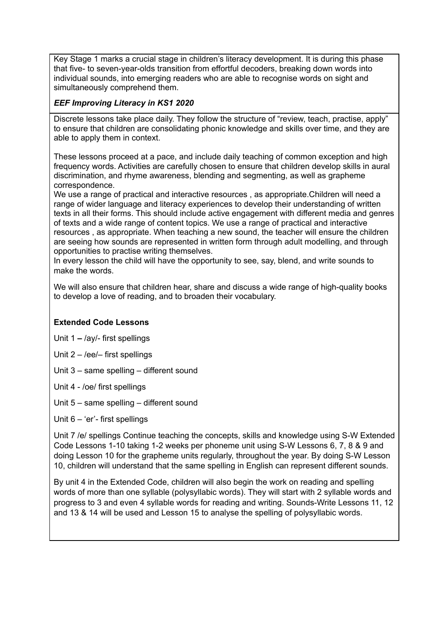Key Stage 1 marks a crucial stage in children's literacy development. It is during this phase that five- to seven-year-olds transition from effortful decoders, breaking down words into individual sounds, into emerging readers who are able to recognise words on sight and simultaneously comprehend them.

## *EEF Improving Literacy in KS1 2020*

Discrete lessons take place daily. They follow the structure of "review, teach, practise, apply" to ensure that children are consolidating phonic knowledge and skills over time, and they are able to apply them in context.

These lessons proceed at a pace, and include daily teaching of common exception and high frequency words. Activities are carefully chosen to ensure that children develop skills in aural discrimination, and rhyme awareness, blending and segmenting, as well as grapheme correspondence.

We use a range of practical and interactive resources , as appropriate.Children will need a range of wider language and literacy experiences to develop their understanding of written texts in all their forms. This should include active engagement with different media and genres of texts and a wide range of content topics. We use a range of practical and interactive resources , as appropriate. When teaching a new sound, the teacher will ensure the children are seeing how sounds are represented in written form through adult modelling, and through opportunities to practise writing themselves.

In every lesson the child will have the opportunity to see, say, blend, and write sounds to make the words.

We will also ensure that children hear, share and discuss a wide range of high-quality books to develop a love of reading, and to broaden their vocabulary.

### **Extended Code Lessons**

Unit 1 **–** /ay/- first spellings

- Unit 2 /ee/– first spellings
- Unit 3 same spelling different sound
- Unit 4 /oe/ first spellings
- Unit 5 same spelling different sound
- Unit 6 'er'- first spellings

Unit 7 /e/ spellings Continue teaching the concepts, skills and knowledge using S-W Extended Code Lessons 1-10 taking 1-2 weeks per phoneme unit using S-W Lessons 6, 7, 8 & 9 and doing Lesson 10 for the grapheme units regularly, throughout the year. By doing S-W Lesson 10, children will understand that the same spelling in English can represent different sounds.

By unit 4 in the Extended Code, children will also begin the work on reading and spelling words of more than one syllable (polysyllabic words). They will start with 2 syllable words and progress to 3 and even 4 syllable words for reading and writing. Sounds-Write Lessons 11, 12 and 13 & 14 will be used and Lesson 15 to analyse the spelling of polysyllabic words.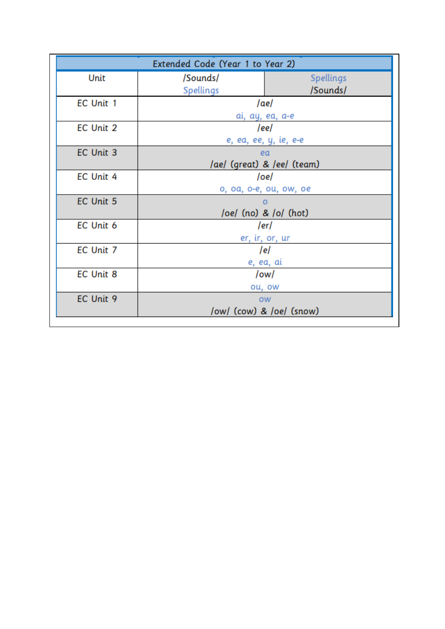| Extended Code (Year 1 to Year 2) |                            |                  |
|----------------------------------|----------------------------|------------------|
| Unit                             | /Sounds/                   | <b>Spellings</b> |
|                                  | Spellings                  | /Sounds/         |
| EC Unit 1                        | /ae/                       |                  |
|                                  | ai, ay, ea, a-e            |                  |
| EC Unit 2                        | /ee/                       |                  |
|                                  | e, ea, ee, y, ie, e-e      |                  |
| EC Unit 3                        | ea                         |                  |
|                                  | /ae/ (great) & /ee/ (team) |                  |
| EC Unit 4                        | /oe/                       |                  |
|                                  | o, oa, o-e, ou, ow, oe     |                  |
| EC Unit 5                        |                            |                  |
|                                  | /oe/ (no) & /o/ (hot)      |                  |
| EC Unit 6                        |                            | /er/             |
|                                  | er, ir, or, ur             |                  |
| EC Unit 7                        | /e/                        |                  |
|                                  | e, ea, ai                  |                  |
| <b>EC Unit 8</b>                 | /ow/                       |                  |
|                                  | ou, ow                     |                  |
| EC Unit 9                        | <b>OW</b>                  |                  |
|                                  | /ow/ (cow) & /oe/ (snow)   |                  |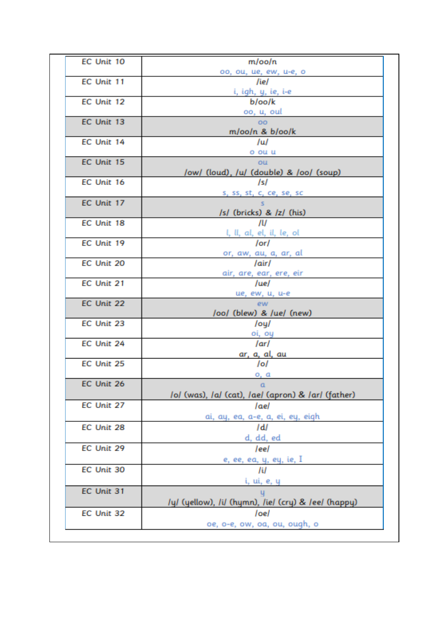| EC Unit 10 | m/oo/n                                              |
|------------|-----------------------------------------------------|
|            | oo, ou, ue, ew, u-e, o                              |
| EC Unit 11 | /ie/                                                |
| EC Unit 12 | i, igh, y, ie, i-e<br>b/oo/k                        |
|            | oo, u, oul                                          |
| EC Unit 13 | OO.                                                 |
|            | m/oo/n & b/oo/k                                     |
| EC Unit 14 | /u/                                                 |
|            | o ou u                                              |
| EC Unit 15 | ou                                                  |
|            | /ow/ (loud), /u/ (double) & /oo/ (soup)             |
| EC Unit 16 | Isl                                                 |
| EC Unit 17 | s, ss, st, c, ce, se, sc<br>S.                      |
|            | /s/ (bricks) & /z/ (his)                            |
| EC Unit 18 | JU                                                  |
|            | l, ll, al, el, il, le, ol                           |
| EC Unit 19 | /or/                                                |
|            | or, aw, au, a, ar, al                               |
| EC Unit 20 | /air/                                               |
| EC Unit 21 | air, are, ear, ere, eir<br>/ue/                     |
|            | ue, ew, u, u-e                                      |
| EC Unit 22 | ew.                                                 |
|            | /oo/ (blew) & /ue/ (new)                            |
| EC Unit 23 | /oy/                                                |
|            | oi, oy                                              |
| EC Unit 24 | /ar/                                                |
| EC Unit 25 | ar, a, al, au<br>/o/                                |
|            | o, a                                                |
| EC Unit 26 | - a                                                 |
|            | Iol (was), Ial (cat), Iael (apron) & Iarl (father)  |
| EC Unit 27 | /ae/                                                |
|            | ai, ay, ea, a-e, a, ei, ey, eigh                    |
| EC Unit 28 | /d/                                                 |
|            | d, dd, ed                                           |
| EC Unit 29 | leel                                                |
| EC Unit 30 | e, ee, ea, y, ey, ie, I                             |
|            | /i/                                                 |
| EC Unit 31 | i, ui, e, y<br>u                                    |
|            | /y/ (yellow), /i/ (hymn), /ie/ (cry) & /ee/ (happy) |
| EC Unit 32 | /oe/                                                |
|            | oe, o-e, ow, oa, ou, ough, o                        |
|            |                                                     |